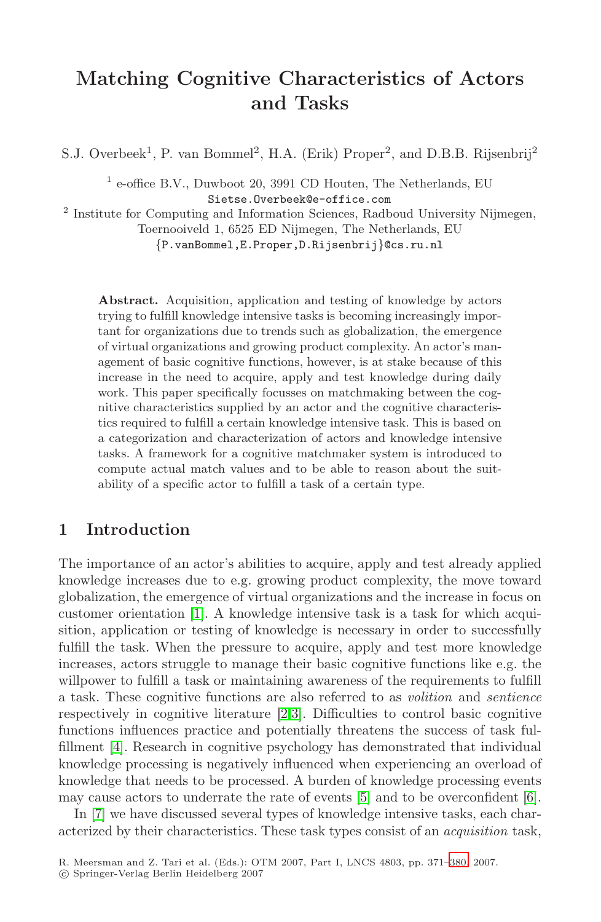# **Matching Cognitive Characteristics of Actors and Tasks**

S.J. Overbeek<sup>1</sup>, P. van Bommel<sup>2</sup>, H.A. (Erik) Proper<sup>2</sup>, and D.B.B. Rijsenbrij<sup>2</sup>

 $^{1}$ e-office B.V., Duwboot 20, 3991 CD Houten, The Netherlands, EU Sietse.Overbeek@e-office.com

<sup>2</sup> Institute for Computing and Information Sciences, Radboud University Nijmegen,

Toernooiveld 1, 6525 ED Nijmegen, The Netherlands, EU {P.vanBommel,E.Proper,D.Rijsenbrij}@cs.ru.nl

**Abstract.** Acquisition, application and testing of knowledge by actors trying to fulfill knowledge intensive tasks is becoming increasingly important for organizations due to trends such as globalization, the emergence of virtual organizations and growing product complexity. An actor's management of basic cognitive functions, however, is at stake because of this increase in the need to acquire, apply and test knowledge during daily work. This paper specifically focusses on matchmaking between the cognitive characteristics supplied by an actor and the cognitive characteristics required to fulfill a certain knowledge intensive task. This is based on a categorization and characterization of actors and knowledge intensive tasks. A framework for a cognitive matchmaker system is introduced to compute actual match values and to be able to reason about the suitability of a specific actor to fulfill a task of a certain type.

### **1 Introduction**

The importance of an actor's abilities to acquire, apply and test already applied knowledge increa[se](#page-9-0)[s](#page-9-1) due to e.g. growing product complexity, the move toward globalization, the emergence of virtual organizations and the increase in focus on customer orientation [1]. A knowledge intensive task is a task for which acquisition, application or testing of knowledge is necessary in order to successfully fulfill the task. When the pressure to acquire, apply and test more knowledge increases, actors struggle to m[an](#page-9-2)age their basic cognitive [fu](#page-9-3)nctions like e.g. the willpower to fulfill a task or maintaining awareness of the requirements to fulfill a task. These cognitive functions are also referred to as volition and sentience respectively in cognitive literature [2,3]. Difficulties to control basic cognitive functions influences practice and potentially [thr](#page-9-4)eatens the success of task fulfillment [4]. Research in cognitive psychology has demonstrated that individual knowledge processing is negatively influenced when experiencing an overload of knowledge that needs to be processed. A burden of knowledge processing events may cause actors to underrate the rate of events [5] and to be overconfident [6].

In [7] we have discussed several types of knowledge intensive tasks, each characterized by their characteristics. These task types consist of an acquisition task,

R. Meersman and Z. Tari et al. (Eds.): OTM 2007, Part I, LNCS 4803, pp. 371–380, 2007.

<sup>-</sup>c Springer-Verlag Berlin Heidelberg 2007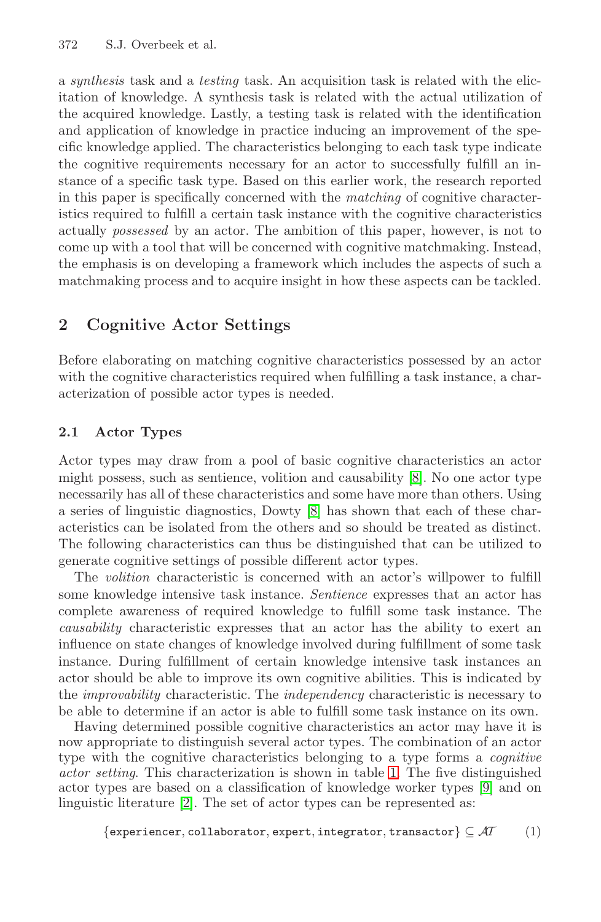<span id="page-1-0"></span>a synthesis task and a testing task. An acquisition task is related with the elicitation of knowledge. A synthesis task is related with the actual utilization of the acquired knowledge. Lastly, a testing task is related with the identification and application of knowledge in practice inducing an improvement of the specific knowledge applied. The characteristics belonging to each task type indicate the cognitive requirements necessary for an actor to successfully fulfill an instance of a specific task type. Based on this earlier work, the research reported in this paper is specifically concerned with the matching of cognitive characteristics required to fulfill a certain task instance with the cognitive characteristics actually possessed by an actor. The ambition of this paper, however, is not to come up with a tool that will be concerned with cognitive matchmaking. Instead, the emphasis is on developing a framework which includes the aspects of such a matchmaking process and to acquire insight in how these aspects can be tackled.

# **2 Cognitive Actor Settings**

Before elaborating on matching cognit[iv](#page-9-5)e characteristics possessed by an actor with the cognitive cha[ra](#page-9-5)cteristics required when fulfilling a task instance, a characterization of possible actor types is needed.

#### **2.1 Actor Types**

Actor types may draw from a pool of basic cognitive characteristics an actor might possess, such as sentience, volition and causability [8]. No one actor type necessarily has all of these characteristics and some have more than others. Using a series of linguistic diagnostics, Dowty [8] has shown that each of these characteristics can be isolated from the others and so should be treated as distinct. The following characteristics can thus be distinguished that can be utilized to generate cognitive settings of possible different actor types.

The *volition* characteristic is concerned with an actor's willpower to fulfill some knowledge intensive task instance. Sentience expresses that an actor has complete awareness of required knowledge to fulfill some task instance. The causability characteristic expresses that an actor has the ability to exert an influence on state changes of knowl[ed](#page-2-0)ge involved during fulfillment of some task instance. During fulfillment of certain knowledge [i](#page-9-6)ntensive task instances an a[ct](#page-9-0)or should be able to improve its own cognitive abilities. This is indicated by the improvability characteristic. The independency characteristic is necessary to be able to determine if an actor is able to fulfill some task instance on its own.

Having determined possible cognitive characteristics an actor may have it is now appropriate to distinguish several actor types. The combination of an actor type with the cognitive characteristics belonging to a type forms a cognitive actor setting. This characterization is shown in table 1. The five distinguished actor types are based on a classification of knowledge worker types [9] and on linguistic literature [2]. The set of actor types can be represented as: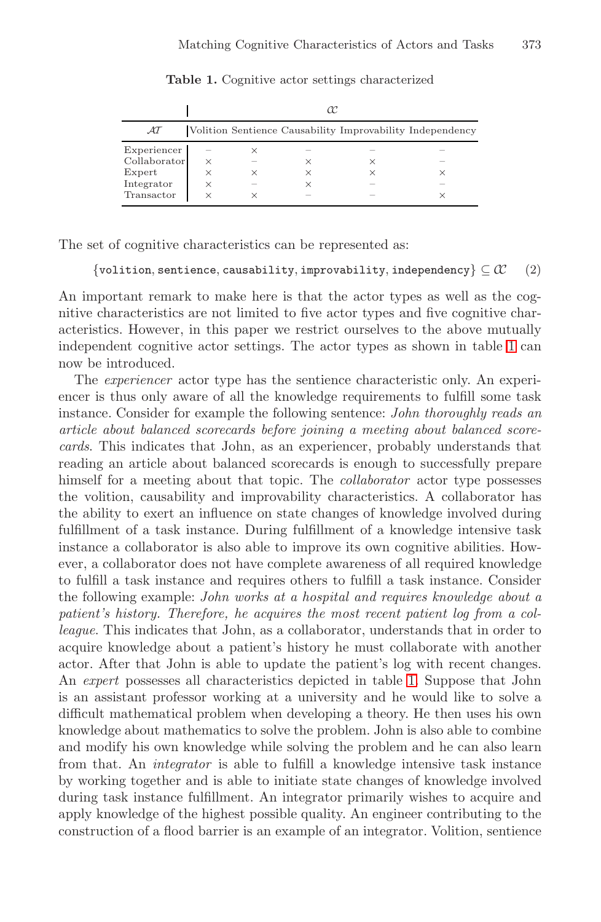**Table 1.** Cognitive actor settings characterized

<span id="page-2-0"></span>

|              | CC.      |        |   |        |                                                           |
|--------------|----------|--------|---|--------|-----------------------------------------------------------|
| ΑT           |          |        |   |        | Volition Sentience Causability Improvability Independency |
| Experiencer  | $\sim$   |        | - | $\sim$ | $\sim$                                                    |
| Collaborator | $\times$ | $\sim$ |   | ×      | -                                                         |
| Expert       | ×        |        |   |        |                                                           |
| Integrator   | $\times$ | $\sim$ |   |        |                                                           |
| Transactor   | $\times$ |        | - | -      |                                                           |

The set of cognitive characteristics can be represented as:

{volition, sentience, causability, improvability, independency}  $\subseteq \mathcal{C}$  (2)

An important remark to make here is that the actor types as well as the cognitive characteristics are not limited to five actor types and five cognitive characteristics. However, in this paper we restrict ourselves to the above mutually independent cognitive actor settings. The actor types as shown in table 1 can now be introduced.

The *experiencer* actor type has the sentience characteristic only. An experiencer is thus only aware of all the knowledge requirements to fulfill some task instance. Consider for example the following sentence: John thoroughly reads an article about balanced scorecards before joining a meeting about balanced scorecards. This indicates that John, as an experiencer, probably understands that reading an article about balanced scorecards is enough to successfully prepare himself for a meeting about that topic. The *collaborator* actor type possesses the volition, causability and improvability characteristics. A collaborator has the ability to exert an influence on state changes of knowledge involved during fulfillment of a task instance. During fulfillment of a knowledge intensive task instance a collaborator is also able to [im](#page-2-0)prove its own cognitive abilities. However, a collaborator does not have complete awareness of all required knowledge to fulfill a task instance and requires others to fulfill a task instance. Consider the following example: John works at a hospital and requires knowledge about a patient's history. Therefore, he acquires the most recent patient log from a colleague. This indicates that John, as a collaborator, understands that in order to acquire knowledge about a patient's history he must collaborate with another actor. After that John is able to update the patient's log with recent changes. An expert possesses all characteristics depicted in table 1. Suppose that John is an assistant professor working at a university and he would like to solve a difficult mathematical problem when developing a theory. He then uses his own knowledge about mathematics to solve the problem. John is also able to combine and modify his own knowledge while solving the problem and he can also learn from that. An integrator is able to fulfill a knowledge intensive task instance by working together and is able to initiate state changes of knowledge involved during task instance fulfillment. An integrator primarily wishes to acquire and apply knowledge of the highest possible quality. An engineer contributing to the construction of a flood barrier is an example of an integrator. Volition, sentience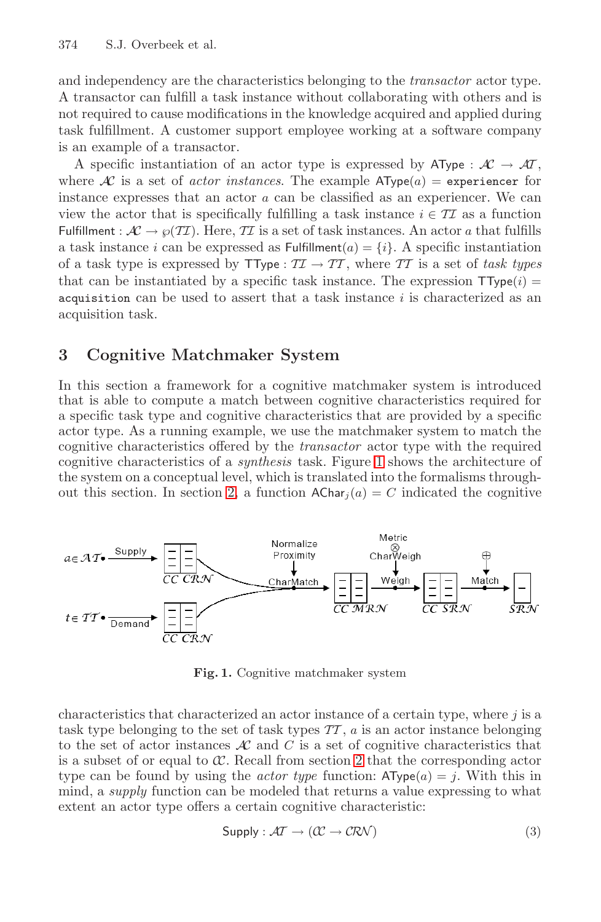and independency are the characteristics belonging to the transactor actor type. A transactor can fulfill a task instance without collaborating with others and is not required to cause modifications in the knowledge acquired and applied during task fulfillment. A customer support employee working at a software company is an example of a transactor.

A specific instantiation of an actor type is expressed by AType :  $\mathcal{A} \rightarrow \mathcal{A}$ , where  $\mathcal{A}$  is a set of *actor instances*. The example  $AType(a)$  = experiencer for instance expresses that an actor  $a$  can be classified as an experiencer. We can view the actor that is specifically fulfilling a task instance  $i \in \mathcal{TI}$  as a function Fulfillment :  $\mathcal{X} \to \wp(T\mathcal{I})$ . Here, T*I* is a set of task instances. An actor a that fulfills a task instance i can be expressed as  $\text{Fullment}(a) = \{i\}$ . A specific instantiation of a task type is expressed by  $TT$ ype :  $TT \rightarrow TT$ , where  $TT$  is a set of task types that can be instantiated by a specific task instance. The expression  $\text{TType}(i)$ acquisition can be used to assert that a task instance  $i$  is characterized as an acquisition task.

# **3 Co[gn](#page-1-0)itive Matchmaker System**

In this section a framework for a cognitive matchmaker system is introduced that is able to compute a match between cognitive characteristics required for a specific task type and cognitive characteristics that are provided by a specific actor type. As a running example, we use the matchmaker system to match the cognitive characteristics offered by the transactor actor type with the required cognitive characteristics of a synthesis task. Figure 1 shows the architecture of the system on a conceptual level, which is translated into the formalisms throughout this section. In section 2, a function  $AChar_j(a) = C$  indicated the cognitive

<span id="page-3-0"></span>

**Fig. 1.** Cognitive matchmaker system

characteristics that characterized an actor instance of a certain type, where j is a task type belonging to the set of task types TT , a is an actor instance belonging to the set of actor instances  $\mathcal{A}$  and C is a set of cognitive characteristics that is a subset of or equal to  $\mathcal{C}$ . Recall from section 2 that the corresponding actor type can be found by using the *actor type* function:  $AType(a) = j$ . With this in mind, a supply function can be modeled that returns a value expressing to what extent an actor type offers a certain cognitive characteristic:

$$
Supply: \mathcal{AT} \to (\mathcal{C} \to \mathcal{C}\mathcal{R}\mathcal{N})
$$
\n(3)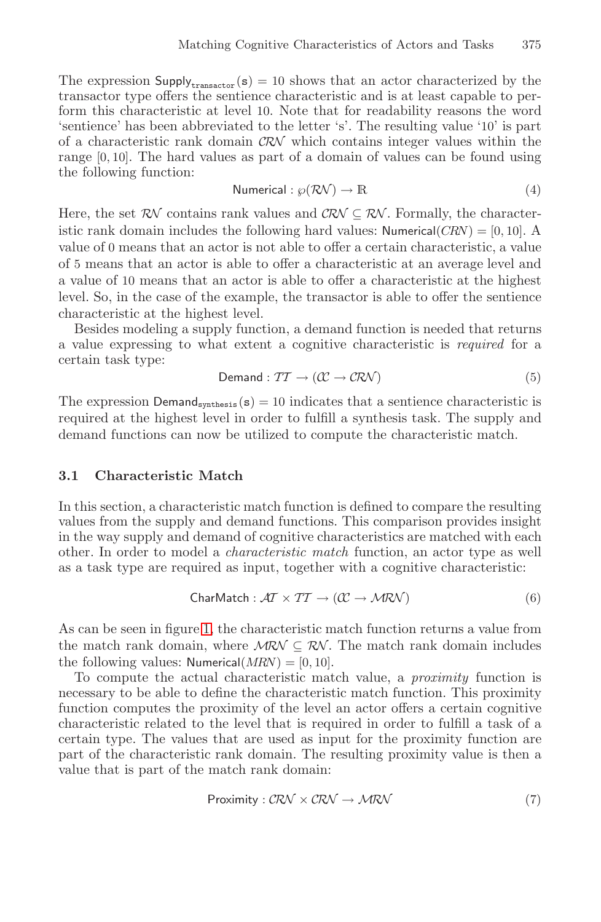The expression  $\text{Supply}_{\text{transactor}}(s) = 10$  shows that an actor characterized by the transactor type offers the sentience characteristic and is at least capable to perform this characteristic at level 10. Note that for readability reasons the word 'sentience' has been abbreviated to the letter 's'. The resulting value '10' is part of a characteristic rank domain  $\mathcal{CN}$  which contains integer values within the range [0, 10]. The hard values as part of a domain of values can be found using the following function:

$$
\text{Numerical}: \wp(\mathcal{RN}) \to \mathbb{R} \tag{4}
$$

Here, the set  $\mathcal{RN}$  contains rank values and  $\mathcal{CN} \subseteq \mathcal{RN}$ . Formally, the characteristic rank domain includes the following hard values: Numerical( $CRN$ ) = [0, 10]. A value of 0 means that an actor is not able to offer a certain characteristic, a value of 5 means that an actor is able to offer a characteristic at an average level and a value of 10 means that an actor is able to offer a characteristic at the highest level. So, in the case of the example, the transactor is able to offer the sentience characteristic at the highest level.

Besides modeling a supply function, a demand function is needed that returns a value expressing to what extent a cognitive characteristic is required for a certain task type:

$$
Demand: TT \to (\mathcal{C} \to \mathcal{C}\mathcal{R}\mathcal{N})
$$
\n
$$
(5)
$$

The expression Demand<sub>synthesis</sub>  $(s) = 10$  indicates that a sentience characteristic is required at the highest level in order to fulfill a synthesis task. The supply and demand functions can now be utilized to compute the characteristic match.

#### **3.1 Characteristic Match**

In t[his](#page-3-0) section, a characteristic match function is defined to compare the resulting values from the supply and demand functions. This comparison provides insight in the way supply and demand of cognitive characteristics are matched with each other. In order to model a characteristic match function, an actor type as well as a task type are required as input, together with a cognitive characteristic:

$$
CharMatch: \mathcal{AT} \times TT \to (\mathcal{C} \to \mathcal{MRN})
$$
 (6)

As can be seen in figure 1, the characteristic match function returns a value from the match rank domain, where  $MRV \subseteq RN$ . The match rank domain includes the following values: Numerical $(MRN) = [0, 10]$ .

To compute the actual characteristic match value, a proximity function is necessary to be able to define the characteristic match function. This proximity function computes the proximity of the level an actor offers a certain cognitive characteristic related to the level that is required in order to fulfill a task of a certain type. The values that are used as input for the proximity function are part of the characteristic rank domain. The resulting proximity value is then a value that is part of the match rank domain:

$$
Proximity: CRN \times CRN \to MRN \tag{7}
$$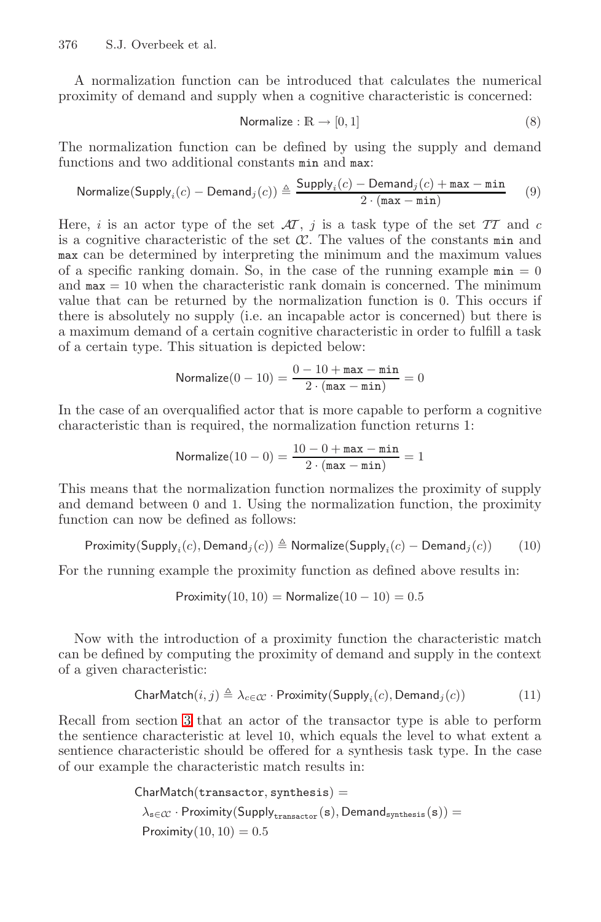A normalization function can be introduced that calculates the numerical proximity of demand and supply when a cognitive characteristic is concerned:

$$
Normalize: \mathbb{R} \to [0, 1]
$$
\n(8)

The normalization function can be defined by using the supply and demand functions and two additional constants min and max:

$$
\text{Normalize}(\text{Supply}_i(c) - \text{Demand}_j(c)) \triangleq \frac{\text{Supply}_i(c) - \text{Demand}_j(c) + \max - \min}{2 \cdot (\max - \min)} \tag{9}
$$

Here, i is an actor type of the set  $AT$ , j is a task type of the set TT and c is a cognitive characteristic of the set  $\mathcal{C}$ . The values of the constants min and max can be determined by interpreting the minimum and the maximum values of a specific ranking domain. So, in the case of the running example  $\min = 0$ and  $\texttt{max} = 10$  when the characteristic rank domain is concerned. The minimum value that can be returned by the normalization function is 0. This occurs if there is absolutely no supply (i.e. an incapable actor is concerned) but there is a maximum demand of a certain cognitive characteristic in order to fulfill a task of a certain type. This situation is depicted below:

$$
\text{Normalize}(0 - 10) = \frac{0 - 10 + \max - \min}{2 \cdot (\max - \min)} = 0
$$

In the case of an overqualified actor that is more capable to perform a cognitive characteristic than is required, the normalization function returns 1:

$$
\text{Normalize}(10 - 0) = \frac{10 - 0 + \max - \min}{2 \cdot (\max - \min)} = 1
$$

This means that the normalization function normalizes the proximity of supply and demand between 0 and 1. Using the normalization function, the proximity function can now be defined as follows:

$$
Proximity(Supplyi(c), Demandj(c)) \triangleq Normalize(Supplyi(c) - Demandj(c))
$$
 (10)

For the running example the proximity function as defined above results in:

$$
Proximity(10, 10) = \text{Normalize}(10 - 10) = 0.5
$$

Now with the introduction of a proximity function the characteristic match can be defined by computing the proximity of demand and supply in the context of a given characteristic:

$$
\mathsf{CharMatch}(i,j) \triangleq \lambda_{c \in \mathcal{C}} \cdot \mathsf{Proximity}(\mathsf{Supply}_i(c), \mathsf{Demand}_j(c)) \tag{11}
$$

Recall from section 3 that an actor of the transactor type is able to perform the sentience characteristic at level 10, which equals the level to what extent a sentience characteristic should be offered for a synthesis task type. In the case of our example the characteristic match results in:

> $CharMatch(transactor, synthesis) =$  $\lambda_{\mathtt{s}\in\mathcal{C}\mathtt{C}}\cdot\mathsf{Proximity}(\mathsf{Supply}_{\mathtt{transactor}}(\mathtt{s}),\mathsf{Demands}_{\mathtt{synthesis}}(\mathtt{s}))=$ Proximity $(10, 10) = 0.5$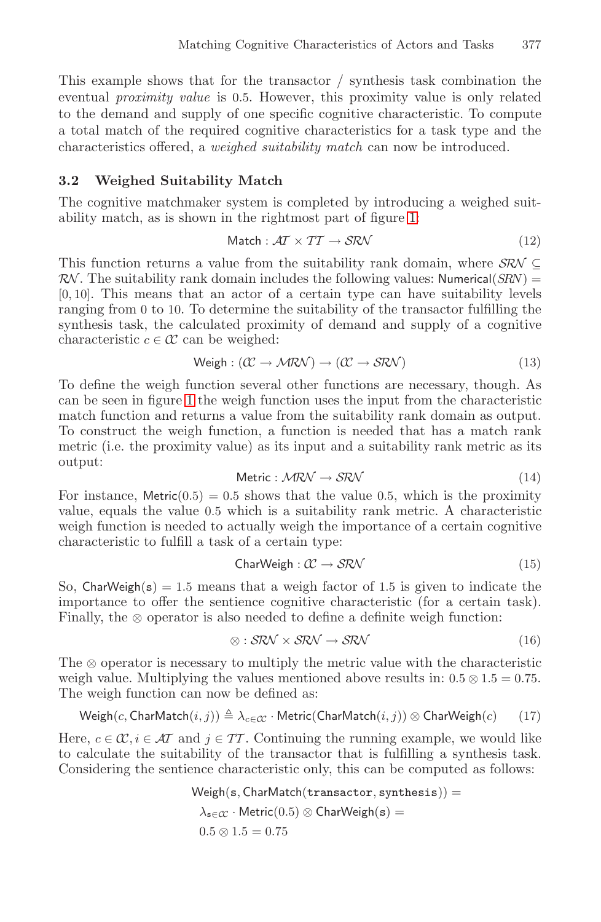This example shows that for the tra[nsa](#page-3-0)ctor / synthesis task combination the eventual proximity value is 0.5. However, this proximity value is only related to the demand and supply of one specific cognitive characteristic. To compute a total match of the required cognitive characteristics for a task type and the characteristics offered, a weighed suitability match can now be introduced.

#### **3.2 Weighed Suitability Match**

The cognitive matchmaker system is completed by introducing a weighed suitability match, as is shown in the rightmost part of figure 1:

$$
\mathsf{Match}: \mathcal{AT} \times TT \to SRN \tag{12}
$$

T[his](#page-3-0) function returns a value from the suitability rank domain, where  $\mathcal{SRN} \subseteq$  $\mathcal{R}V$ . The suitability rank domain includes the following values: Numerical( $\mathcal{S}RN$ ) = [0, 10]. This means that an actor of a certain type can have suitability levels ranging from 0 to 10. To determine the suitability of the transactor fulfilling the synthesis task, the calculated proximity of demand and supply of a cognitive characteristic  $c \in \mathcal{C}$  can be weighed:

$$
Weight: (\mathcal{C} \to \mathcal{MRN}) \to (\mathcal{C} \to \mathcal{SRN})
$$
\n(13)

To define the weigh function several other functions are necessary, though. As can be seen in figure 1 the weigh function uses the input from the characteristic match function and returns a value from the suitability rank domain as output. To construct the weigh function, a function is needed that has a match rank metric (i.e. the proximity value) as its input and a suitability rank metric as its output:

$$
Metric: MRN \to SRN \tag{14}
$$

For instance, Metric $(0.5) = 0.5$  shows that the value 0.5, which is the proximity value, equals the value 0.5 which is a suitability rank metric. A characteristic weigh function is needed to actually weigh the importance of a certain cognitive characteristic to fulfill a task of a certain type:

$$
CharWeight: \mathcal{C} \to \mathcal{SRN} \tag{15}
$$

<span id="page-6-0"></span>So, CharWeigh(s) = 1.5 means that a weigh factor of 1.5 is given to indicate the importance to offer the sentience cognitive characteristic (for a certain task). Finally, the ⊗ operator is also needed to define a definite weigh function:

$$
\otimes : \mathcal{SRN} \times \mathcal{SRN} \to \mathcal{SRN} \tag{16}
$$

The ⊗ operator is necessary to multiply the metric value with the characteristic weigh value. Multiplying the values mentioned above results in:  $0.5 \otimes 1.5 = 0.75$ . The weigh function can now be defined as:

$$
\mathsf{Weight}(c, \mathsf{CharMatch}(i, j)) \triangleq \lambda_{c \in \mathcal{C}} \cdot \mathsf{Metric}(\mathsf{CharMatch}(i, j)) \otimes \mathsf{CharWeight}(c) \qquad (17)
$$

Here,  $c \in \mathcal{C}$ ,  $i \in \mathcal{A}$  and  $j \in \mathcal{T}$ . Continuing the running example, we would like to calculate the suitability of the transactor that is fulfilling a synthesis task. Considering the sentience characteristic only, this can be computed as follows:

```
Weight(s, CharMatch(transactor, synthesis)) =\lambda_{\mathbf{s}\in\mathcal{C}\mathcal{C}}\cdot\mathsf{Metric}(0.5)\otimes\mathsf{CharWeight}(\mathbf{s})=0.5 \otimes 1.5=0.75
```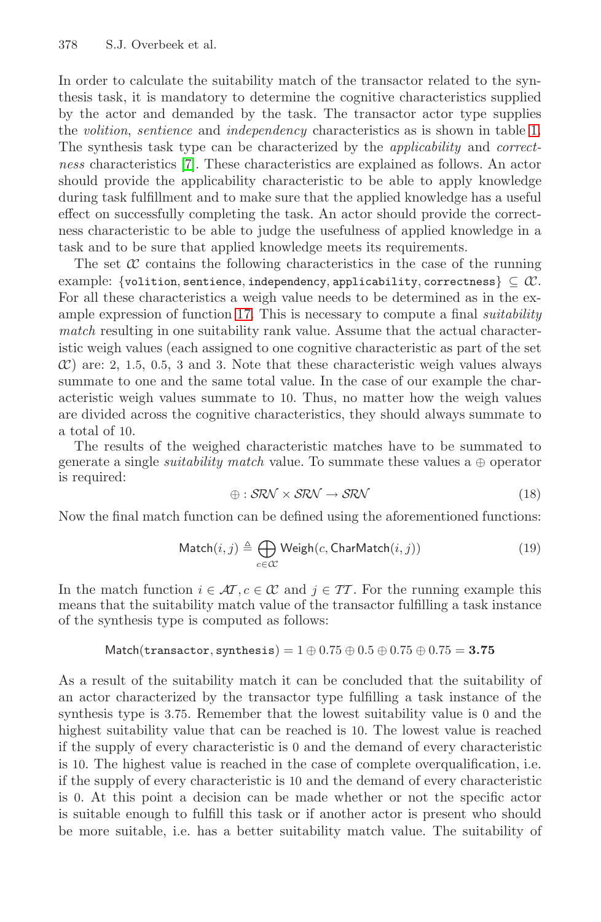In order to calculate the suitability match of the transactor related to the synthesis task, it is mandatory to determine the cognitive characteristics supplied by the actor and demanded by the task. The transactor actor type supplies the volition, sentience and independency characteristics as is shown in table 1. The synthesis task type can be characterized by the applicability and correctness characteristics [7]. These characteristics are explained as follows. An actor should pr[ovid](#page-6-0)e the applicability characteristic to be able to apply knowledge during task fulfillment and to make sure that the applied knowledge has a useful effect on successfully completing the task. An actor should provide the correctness characteristic to be able to judge the usefulness of applied knowledge in a task and to be sure that applied knowledge meets its requirements.

The set  $\alpha$  contains the following characteristics in the case of the running example: {volition, sentience, independency, applicability, correctness}  $\subseteq \mathcal{C}$ . For all these characteristics a weigh value needs to be determined as in the example expression of function 17. This is necessary to compute a final *suitability* match resulting in one suitability rank value. Assume that the actual characteristic weigh values (each assigned to one cognitive characteristic as part of the set  $\mathcal{C}$ ) are: 2, 1.5, 0.5, 3 and 3. Note that these characteristic weigh values always summate to one and the same total value. In the case of our example the characteristic weigh values summate to 10. Thus, no matter how the weigh values are divided across the cognitive characteristics, they should always summate to a total of 10.

The results of the weighed characteristic matches have to be summated to generate a single *suitability match* value. To summate these values a  $oplus$  operator is required:

$$
\oplus : \mathcal{SRN} \times \mathcal{SRN} \to \mathcal{SRN} \tag{18}
$$

Now the final match function can be defined using the aforementioned functions:

$$
\text{Match}(i, j) \triangleq \bigoplus_{c \in \mathcal{CC}} \text{Weight}(c, \text{CharMatch}(i, j)) \tag{19}
$$

In the match function  $i \in \mathcal{AT}, c \in \mathcal{C}$  and  $j \in \mathcal{TT}$ . For the running example this means that the suitability match value of the transactor fulfilling a task instance of the synthesis type is computed as follows:

$$
\mathsf{Match}(\mathtt{transaction}, \mathtt{synthesis}) = 1 \oplus 0.75 \oplus 0.5 \oplus 0.75 \oplus 0.75 = \mathbf{3.75}
$$

As a result of the suitability match it can be concluded that the suitability of an actor characterized by the transactor type fulfilling a task instance of the synthesis type is 3.75. Remember that the lowest suitability value is 0 and the highest suitability value that can be reached is 10. The lowest value is reached if the supply of every characteristic is 0 and the demand of every characteristic is 10. The highest value is reached in the case of complete overqualification, i.e. if the supply of every characteristic is 10 and the demand of every characteristic is 0. At this point a decision can be made whether or not the specific actor is suitable enough to fulfill this task or if another actor is present who should be more suitable, i.e. has a better suitability match value. The suitability of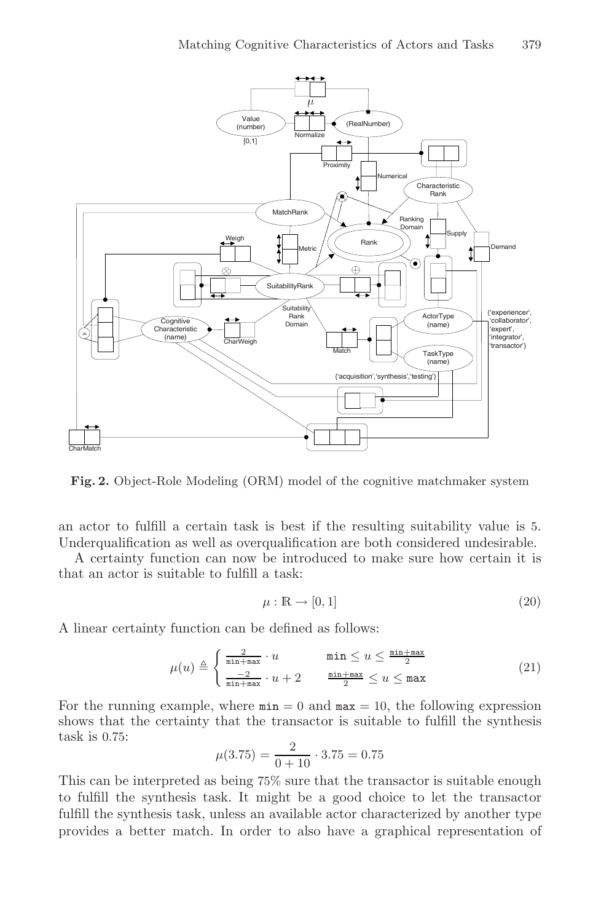

**Fig. 2.** Object-Role Modeling (ORM) model of the cognitive matchmaker system

an actor to fulfill a certain task is best if the resulting suitability value is 5. Underqualification as well as overqualification are both considered undesirable.

A certainty function can now be introduced to make sure how certain it is that an actor is suitable to fulfill a task:

$$
\mu: \mathbb{R} \to [0, 1] \tag{20}
$$

A linear certainty function can be defined as follows:

$$
\mu(u) \triangleq \begin{cases} \frac{2}{\min + \max} \cdot u & \min \le u \le \frac{\min + \max}{2} \\ \frac{-2}{\min + \max} \cdot u + 2 & \frac{\min + \max}{2} \le u \le \max \end{cases} \tag{21}
$$

For the running example, where  $\min = 0$  and  $\max = 10$ , the following expression shows that the certainty that the transactor is suitable to fulfill the synthesis task is 0.75:

$$
\mu(3.75) = \frac{2}{0+10} \cdot 3.75 = 0.75
$$

This can be interpreted as being 75% sure that the transactor is suitable enough to fulfill the synthesis task. It might be a good choice to let the transactor fulfill the synthesis task, unless an available actor characterized by another type provides a better match. In order to also have a graphical representation of